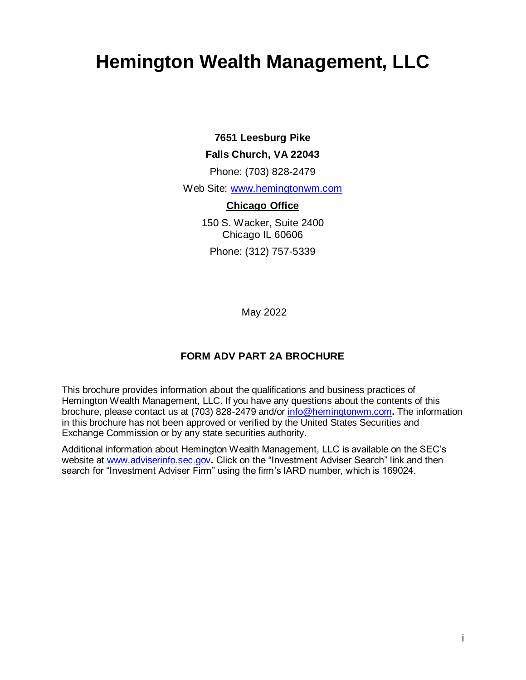# <span id="page-0-0"></span>**Hemington Wealth Management, LLC**

## **7651 Leesburg Pike**

#### **Falls Church, VA 22043**

Phone: (703) 828-2479

Web Site: [www.hemingtonwm.com](http://www.hemingtonwm.com/)

#### **Chicago Office**

150 S. Wacker, Suite 2400 Chicago IL 60606 Phone: (312) 757-5339

May 2022

## **FORM ADV PART 2A BROCHURE**

This brochure provides information about the qualifications and business practices of Hemington Wealth Management, LLC. If you have any questions about the contents of this brochure, please contact us at (703) 828-2479 and/or [info@hemingtonwm.com](mailto:info@hemingtonwm.com)**.** The information in this brochure has not been approved or verified by the United States Securities and Exchange Commission or by any state securities authority.

Additional information about Hemington Wealth Management, LLC is available on the SEC's website at [www.adviserinfo.sec.gov](http://www.adviserinfo.sec.gov/)**.** Click on the "Investment Adviser Search" link and then search for "Investment Adviser Firm" using the firm's IARD number, which is 169024.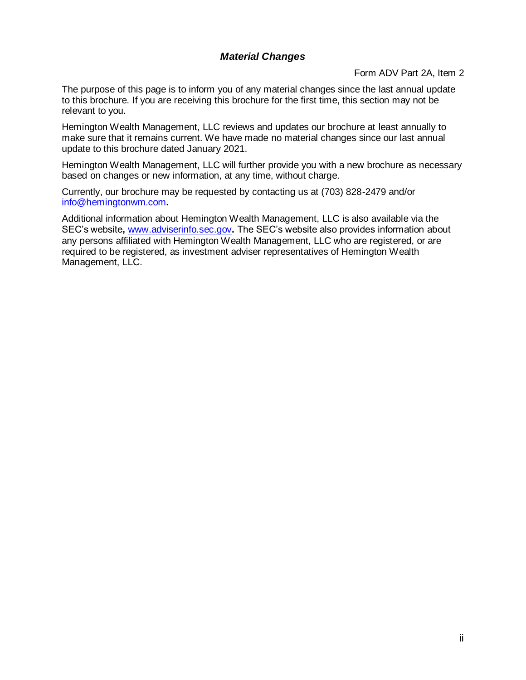## *Material Changes*

Form ADV Part 2A, Item 2

<span id="page-1-0"></span>The purpose of this page is to inform you of any material changes since the last annual update to this brochure. If you are receiving this brochure for the first time, this section may not be relevant to you.

Hemington Wealth Management, LLC reviews and updates our brochure at least annually to make sure that it remains current. We have made no material changes since our last annual update to this brochure dated January 2021.

Hemington Wealth Management, LLC will further provide you with a new brochure as necessary based on changes or new information, at any time, without charge.

Currently, our brochure may be requested by contacting us at (703) 828-2479 and/or [info@hemingtonwm.com](mailto:info@hemingtonwm.com)**.**

Additional information about Hemington Wealth Management, LLC is also available via the SEC's website**,** [www.adviserinfo.sec.gov](http://www.adviserinfo.sec.gov/)**.** The SEC's website also provides information about any persons affiliated with Hemington Wealth Management, LLC who are registered, or are required to be registered, as investment adviser representatives of Hemington Wealth Management, LLC.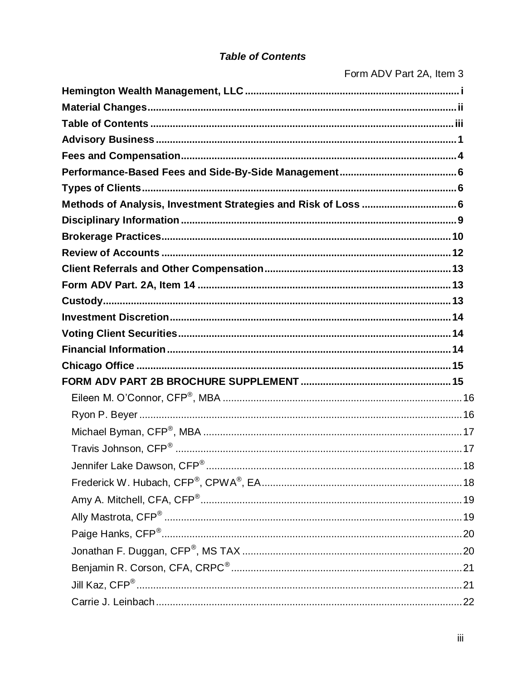# **Table of Contents**

<span id="page-2-0"></span>

|                                                                | Form ADV Part 2A, Item 3 |
|----------------------------------------------------------------|--------------------------|
|                                                                |                          |
|                                                                |                          |
|                                                                |                          |
|                                                                |                          |
|                                                                |                          |
|                                                                |                          |
|                                                                |                          |
| Methods of Analysis, Investment Strategies and Risk of Loss  6 |                          |
|                                                                |                          |
|                                                                |                          |
|                                                                |                          |
|                                                                |                          |
|                                                                |                          |
|                                                                |                          |
|                                                                |                          |
|                                                                |                          |
|                                                                |                          |
|                                                                |                          |
|                                                                |                          |
|                                                                |                          |
|                                                                |                          |
|                                                                |                          |
| Travis Johnson, CFP®                                           | 17                       |
|                                                                |                          |
|                                                                |                          |
|                                                                |                          |
|                                                                |                          |
|                                                                |                          |
|                                                                |                          |
|                                                                |                          |
|                                                                |                          |
|                                                                |                          |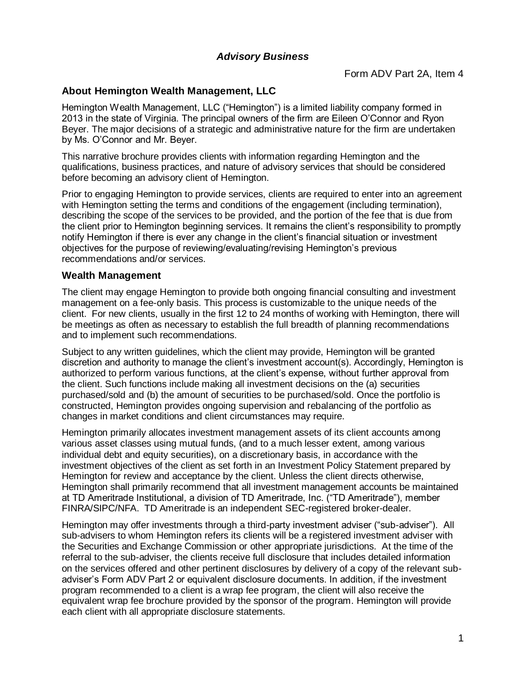## *Advisory Business*

Form ADV Part 2A, Item 4

#### <span id="page-3-0"></span>**About Hemington Wealth Management, LLC**

Hemington Wealth Management, LLC ("Hemington") is a limited liability company formed in 2013 in the state of Virginia. The principal owners of the firm are Eileen O'Connor and Ryon Beyer. The major decisions of a strategic and administrative nature for the firm are undertaken by Ms. O'Connor and Mr. Beyer.

This narrative brochure provides clients with information regarding Hemington and the qualifications, business practices, and nature of advisory services that should be considered before becoming an advisory client of Hemington.

Prior to engaging Hemington to provide services, clients are required to enter into an agreement with Hemington setting the terms and conditions of the engagement (including termination), describing the scope of the services to be provided, and the portion of the fee that is due from the client prior to Hemington beginning services. It remains the client's responsibility to promptly notify Hemington if there is ever any change in the client's financial situation or investment objectives for the purpose of reviewing/evaluating/revising Hemington's previous recommendations and/or services.

#### **Wealth Management**

The client may engage Hemington to provide both ongoing financial consulting and investment management on a fee-only basis. This process is customizable to the unique needs of the client. For new clients, usually in the first 12 to 24 months of working with Hemington, there will be meetings as often as necessary to establish the full breadth of planning recommendations and to implement such recommendations.

Subject to any written guidelines, which the client may provide, Hemington will be granted discretion and authority to manage the client's investment account(s). Accordingly, Hemington is authorized to perform various functions, at the client's expense, without further approval from the client. Such functions include making all investment decisions on the (a) securities purchased/sold and (b) the amount of securities to be purchased/sold. Once the portfolio is constructed, Hemington provides ongoing supervision and rebalancing of the portfolio as changes in market conditions and client circumstances may require.

Hemington primarily allocates investment management assets of its client accounts among various asset classes using mutual funds, (and to a much lesser extent, among various individual debt and equity securities), on a discretionary basis, in accordance with the investment objectives of the client as set forth in an Investment Policy Statement prepared by Hemington for review and acceptance by the client. Unless the client directs otherwise, Hemington shall primarily recommend that all investment management accounts be maintained at TD Ameritrade Institutional, a division of TD Ameritrade, Inc. ("TD Ameritrade"), member FINRA/SIPC/NFA. TD Ameritrade is an independent SEC-registered broker-dealer.

Hemington may offer investments through a third-party investment adviser ("sub-adviser"). All sub-advisers to whom Hemington refers its clients will be a registered investment adviser with the Securities and Exchange Commission or other appropriate jurisdictions. At the time of the referral to the sub-adviser, the clients receive full disclosure that includes detailed information on the services offered and other pertinent disclosures by delivery of a copy of the relevant subadviser's Form ADV Part 2 or equivalent disclosure documents. In addition, if the investment program recommended to a client is a wrap fee program, the client will also receive the equivalent wrap fee brochure provided by the sponsor of the program. Hemington will provide each client with all appropriate disclosure statements.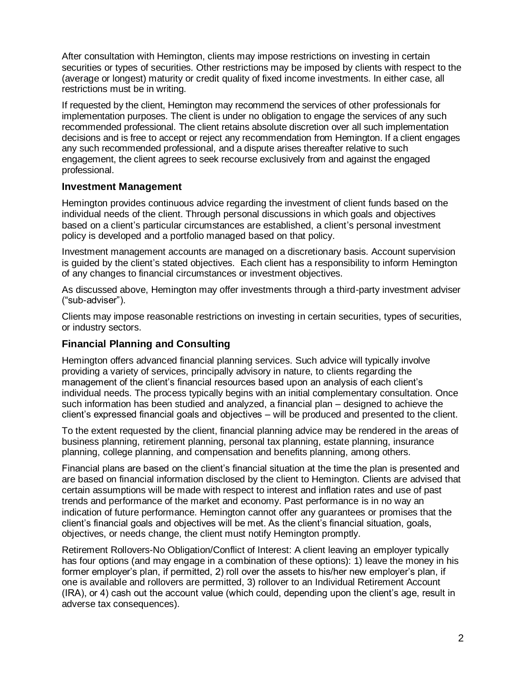After consultation with Hemington, clients may impose restrictions on investing in certain securities or types of securities. Other restrictions may be imposed by clients with respect to the (average or longest) maturity or credit quality of fixed income investments. In either case, all restrictions must be in writing.

If requested by the client, Hemington may recommend the services of other professionals for implementation purposes. The client is under no obligation to engage the services of any such recommended professional. The client retains absolute discretion over all such implementation decisions and is free to accept or reject any recommendation from Hemington. If a client engages any such recommended professional, and a dispute arises thereafter relative to such engagement, the client agrees to seek recourse exclusively from and against the engaged professional.

#### **Investment Management**

Hemington provides continuous advice regarding the investment of client funds based on the individual needs of the client. Through personal discussions in which goals and objectives based on a client's particular circumstances are established, a client's personal investment policy is developed and a portfolio managed based on that policy.

Investment management accounts are managed on a discretionary basis. Account supervision is guided by the client's stated objectives. Each client has a responsibility to inform Hemington of any changes to financial circumstances or investment objectives.

As discussed above, Hemington may offer investments through a third-party investment adviser ("sub-adviser").

Clients may impose reasonable restrictions on investing in certain securities, types of securities, or industry sectors.

#### **Financial Planning and Consulting**

Hemington offers advanced financial planning services. Such advice will typically involve providing a variety of services, principally advisory in nature, to clients regarding the management of the client's financial resources based upon an analysis of each client's individual needs. The process typically begins with an initial complementary consultation. Once such information has been studied and analyzed, a financial plan – designed to achieve the client's expressed financial goals and objectives – will be produced and presented to the client.

To the extent requested by the client, financial planning advice may be rendered in the areas of business planning, retirement planning, personal tax planning, estate planning, insurance planning, college planning, and compensation and benefits planning, among others.

Financial plans are based on the client's financial situation at the time the plan is presented and are based on financial information disclosed by the client to Hemington. Clients are advised that certain assumptions will be made with respect to interest and inflation rates and use of past trends and performance of the market and economy. Past performance is in no way an indication of future performance. Hemington cannot offer any guarantees or promises that the client's financial goals and objectives will be met. As the client's financial situation, goals, objectives, or needs change, the client must notify Hemington promptly.

Retirement Rollovers-No Obligation/Conflict of Interest: A client leaving an employer typically has four options (and may engage in a combination of these options): 1) leave the money in his former employer's plan, if permitted, 2) roll over the assets to his/her new employer's plan, if one is available and rollovers are permitted, 3) rollover to an Individual Retirement Account (IRA), or 4) cash out the account value (which could, depending upon the client's age, result in adverse tax consequences).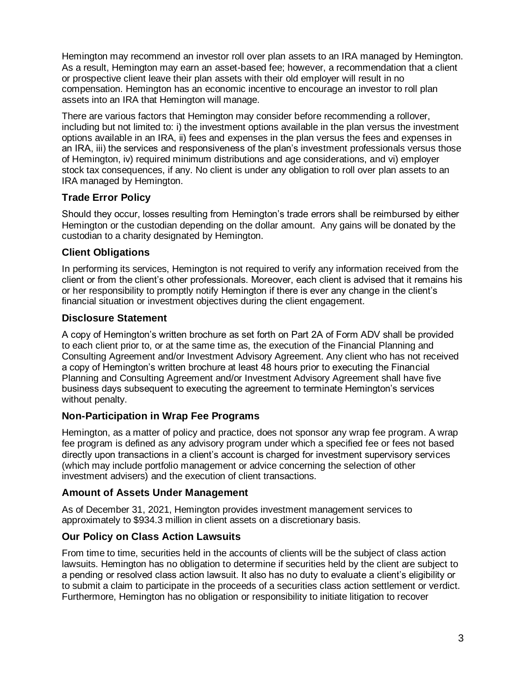Hemington may recommend an investor roll over plan assets to an IRA managed by Hemington. As a result, Hemington may earn an asset-based fee; however, a recommendation that a client or prospective client leave their plan assets with their old employer will result in no compensation. Hemington has an economic incentive to encourage an investor to roll plan assets into an IRA that Hemington will manage.

There are various factors that Hemington may consider before recommending a rollover, including but not limited to: i) the investment options available in the plan versus the investment options available in an IRA, ii) fees and expenses in the plan versus the fees and expenses in an IRA, iii) the services and responsiveness of the plan's investment professionals versus those of Hemington, iv) required minimum distributions and age considerations, and vi) employer stock tax consequences, if any. No client is under any obligation to roll over plan assets to an IRA managed by Hemington.

# **Trade Error Policy**

Should they occur, losses resulting from Hemington's trade errors shall be reimbursed by either Hemington or the custodian depending on the dollar amount. Any gains will be donated by the custodian to a charity designated by Hemington.

# **Client Obligations**

In performing its services, Hemington is not required to verify any information received from the client or from the client's other professionals. Moreover, each client is advised that it remains his or her responsibility to promptly notify Hemington if there is ever any change in the client's financial situation or investment objectives during the client engagement.

# **Disclosure Statement**

A copy of Hemington's written brochure as set forth on Part 2A of Form ADV shall be provided to each client prior to, or at the same time as, the execution of the Financial Planning and Consulting Agreement and/or Investment Advisory Agreement. Any client who has not received a copy of Hemington's written brochure at least 48 hours prior to executing the Financial Planning and Consulting Agreement and/or Investment Advisory Agreement shall have five business days subsequent to executing the agreement to terminate Hemington's services without penalty.

# **Non-Participation in Wrap Fee Programs**

Hemington, as a matter of policy and practice, does not sponsor any wrap fee program. A wrap fee program is defined as any advisory program under which a specified fee or fees not based directly upon transactions in a client's account is charged for investment supervisory services (which may include portfolio management or advice concerning the selection of other investment advisers) and the execution of client transactions.

# **Amount of Assets Under Management**

As of December 31, 2021, Hemington provides investment management services to approximately to \$934.3 million in client assets on a discretionary basis.

# **Our Policy on Class Action Lawsuits**

From time to time, securities held in the accounts of clients will be the subject of class action lawsuits. Hemington has no obligation to determine if securities held by the client are subject to a pending or resolved class action lawsuit. It also has no duty to evaluate a client's eligibility or to submit a claim to participate in the proceeds of a securities class action settlement or verdict. Furthermore, Hemington has no obligation or responsibility to initiate litigation to recover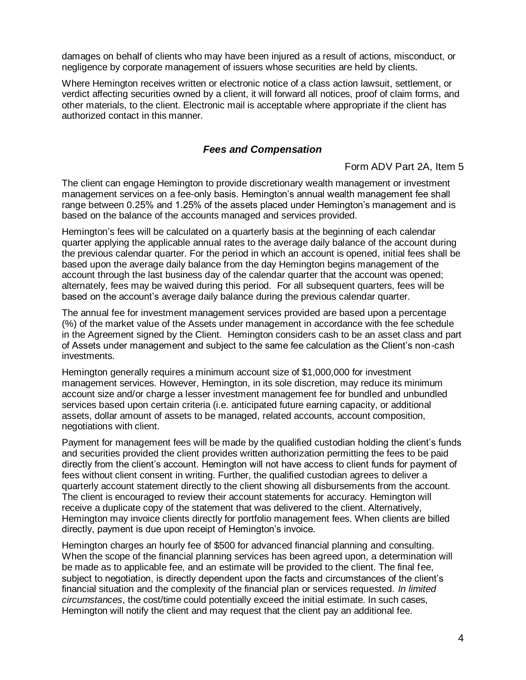damages on behalf of clients who may have been injured as a result of actions, misconduct, or negligence by corporate management of issuers whose securities are held by clients.

Where Hemington receives written or electronic notice of a class action lawsuit, settlement, or verdict affecting securities owned by a client, it will forward all notices, proof of claim forms, and other materials, to the client. Electronic mail is acceptable where appropriate if the client has authorized contact in this manner.

#### *Fees and Compensation*

#### Form ADV Part 2A, Item 5

<span id="page-6-0"></span>The client can engage Hemington to provide discretionary wealth management or investment management services on a fee-only basis. Hemington's annual wealth management fee shall range between 0.25% and 1.25% of the assets placed under Hemington's management and is based on the balance of the accounts managed and services provided.

Hemington's fees will be calculated on a quarterly basis at the beginning of each calendar quarter applying the applicable annual rates to the average daily balance of the account during the previous calendar quarter. For the period in which an account is opened, initial fees shall be based upon the average daily balance from the day Hemington begins management of the account through the last business day of the calendar quarter that the account was opened; alternately, fees may be waived during this period. For all subsequent quarters, fees will be based on the account's average daily balance during the previous calendar quarter.

The annual fee for investment management services provided are based upon a percentage (%) of the market value of the Assets under management in accordance with the fee schedule in the Agreement signed by the Client. Hemington considers cash to be an asset class and part of Assets under management and subject to the same fee calculation as the Client's non-cash investments.

Hemington generally requires a minimum account size of \$1,000,000 for investment management services. However, Hemington, in its sole discretion, may reduce its minimum account size and/or charge a lesser investment management fee for bundled and unbundled services based upon certain criteria (i.e. anticipated future earning capacity, or additional assets, dollar amount of assets to be managed, related accounts, account composition, negotiations with client.

Payment for management fees will be made by the qualified custodian holding the client's funds and securities provided the client provides written authorization permitting the fees to be paid directly from the client's account. Hemington will not have access to client funds for payment of fees without client consent in writing. Further, the qualified custodian agrees to deliver a quarterly account statement directly to the client showing all disbursements from the account. The client is encouraged to review their account statements for accuracy. Hemington will receive a duplicate copy of the statement that was delivered to the client. Alternatively, Hemington may invoice clients directly for portfolio management fees. When clients are billed directly, payment is due upon receipt of Hemington's invoice.

Hemington charges an hourly fee of \$500 for advanced financial planning and consulting. When the scope of the financial planning services has been agreed upon, a determination will be made as to applicable fee, and an estimate will be provided to the client. The final fee, subject to negotiation, is directly dependent upon the facts and circumstances of the client's financial situation and the complexity of the financial plan or services requested. *In limited circumstances*, the cost/time could potentially exceed the initial estimate. In such cases, Hemington will notify the client and may request that the client pay an additional fee.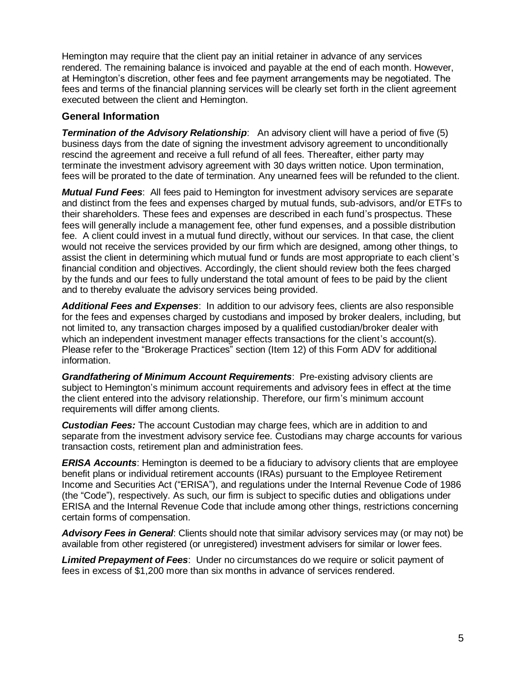Hemington may require that the client pay an initial retainer in advance of any services rendered. The remaining balance is invoiced and payable at the end of each month. However, at Hemington's discretion, other fees and fee payment arrangements may be negotiated. The fees and terms of the financial planning services will be clearly set forth in the client agreement executed between the client and Hemington.

#### **General Information**

**Termination of the Advisory Relationship**: An advisory client will have a period of five (5) business days from the date of signing the investment advisory agreement to unconditionally rescind the agreement and receive a full refund of all fees. Thereafter, either party may terminate the investment advisory agreement with 30 days written notice. Upon termination, fees will be prorated to the date of termination. Any unearned fees will be refunded to the client.

*Mutual Fund Fees*: All fees paid to Hemington for investment advisory services are separate and distinct from the fees and expenses charged by mutual funds, sub-advisors, and/or ETFs to their shareholders. These fees and expenses are described in each fund's prospectus. These fees will generally include a management fee, other fund expenses, and a possible distribution fee. A client could invest in a mutual fund directly, without our services. In that case, the client would not receive the services provided by our firm which are designed, among other things, to assist the client in determining which mutual fund or funds are most appropriate to each client's financial condition and objectives. Accordingly, the client should review both the fees charged by the funds and our fees to fully understand the total amount of fees to be paid by the client and to thereby evaluate the advisory services being provided.

*Additional Fees and Expenses*: In addition to our advisory fees, clients are also responsible for the fees and expenses charged by custodians and imposed by broker dealers, including, but not limited to, any transaction charges imposed by a qualified custodian/broker dealer with which an independent investment manager effects transactions for the client's account(s). Please refer to the "Brokerage Practices" section (Item 12) of this Form ADV for additional information.

*Grandfathering of Minimum Account Requirements*: Pre-existing advisory clients are subject to Hemington's minimum account requirements and advisory fees in effect at the time the client entered into the advisory relationship. Therefore, our firm's minimum account requirements will differ among clients.

*Custodian Fees:* The account Custodian may charge fees, which are in addition to and separate from the investment advisory service fee. Custodians may charge accounts for various transaction costs, retirement plan and administration fees.

*ERISA Accounts*: Hemington is deemed to be a fiduciary to advisory clients that are employee benefit plans or individual retirement accounts (IRAs) pursuant to the Employee Retirement Income and Securities Act ("ERISA"), and regulations under the Internal Revenue Code of 1986 (the "Code"), respectively. As such, our firm is subject to specific duties and obligations under ERISA and the Internal Revenue Code that include among other things, restrictions concerning certain forms of compensation.

*Advisory Fees in General*: Clients should note that similar advisory services may (or may not) be available from other registered (or unregistered) investment advisers for similar or lower fees.

*Limited Prepayment of Fees*: Under no circumstances do we require or solicit payment of fees in excess of \$1,200 more than six months in advance of services rendered.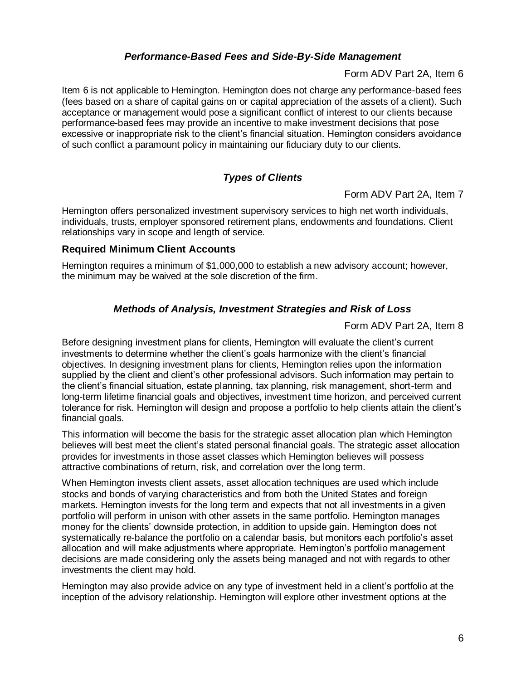## *Performance-Based Fees and Side-By-Side Management*

Form ADV Part 2A, Item 6

<span id="page-8-0"></span>Item 6 is not applicable to Hemington. Hemington does not charge any performance-based fees (fees based on a share of capital gains on or capital appreciation of the assets of a client). Such acceptance or management would pose a significant conflict of interest to our clients because performance-based fees may provide an incentive to make investment decisions that pose excessive or inappropriate risk to the client's financial situation. Hemington considers avoidance of such conflict a paramount policy in maintaining our fiduciary duty to our clients.

# *Types of Clients*

Form ADV Part 2A, Item 7

<span id="page-8-1"></span>Hemington offers personalized investment supervisory services to high net worth individuals, individuals, trusts, employer sponsored retirement plans, endowments and foundations. Client relationships vary in scope and length of service.

#### **Required Minimum Client Accounts**

Hemington requires a minimum of \$1,000,000 to establish a new advisory account; however, the minimum may be waived at the sole discretion of the firm.

#### *Methods of Analysis, Investment Strategies and Risk of Loss*

Form ADV Part 2A, Item 8

<span id="page-8-2"></span>Before designing investment plans for clients, Hemington will evaluate the client's current investments to determine whether the client's goals harmonize with the client's financial objectives. In designing investment plans for clients, Hemington relies upon the information supplied by the client and client's other professional advisors. Such information may pertain to the client's financial situation, estate planning, tax planning, risk management, short-term and long-term lifetime financial goals and objectives, investment time horizon, and perceived current tolerance for risk. Hemington will design and propose a portfolio to help clients attain the client's financial goals.

This information will become the basis for the strategic asset allocation plan which Hemington believes will best meet the client's stated personal financial goals. The strategic asset allocation provides for investments in those asset classes which Hemington believes will possess attractive combinations of return, risk, and correlation over the long term.

When Hemington invests client assets, asset allocation techniques are used which include stocks and bonds of varying characteristics and from both the United States and foreign markets. Hemington invests for the long term and expects that not all investments in a given portfolio will perform in unison with other assets in the same portfolio. Hemington manages money for the clients' downside protection, in addition to upside gain. Hemington does not systematically re-balance the portfolio on a calendar basis, but monitors each portfolio's asset allocation and will make adjustments where appropriate. Hemington's portfolio management decisions are made considering only the assets being managed and not with regards to other investments the client may hold.

Hemington may also provide advice on any type of investment held in a client's portfolio at the inception of the advisory relationship. Hemington will explore other investment options at the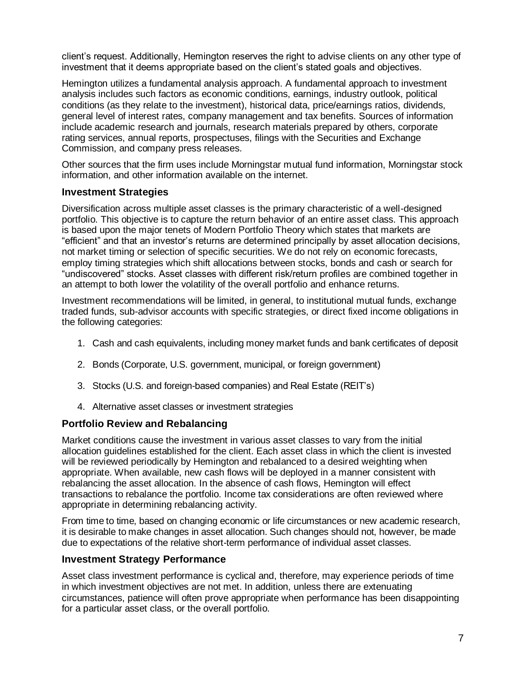client's request. Additionally, Hemington reserves the right to advise clients on any other type of investment that it deems appropriate based on the client's stated goals and objectives.

Hemington utilizes a fundamental analysis approach. A fundamental approach to investment analysis includes such factors as economic conditions, earnings, industry outlook, political conditions (as they relate to the investment), historical data, price/earnings ratios, dividends, general level of interest rates, company management and tax benefits. Sources of information include academic research and journals, research materials prepared by others, corporate rating services, annual reports, prospectuses, filings with the Securities and Exchange Commission, and company press releases.

Other sources that the firm uses include Morningstar mutual fund information, Morningstar stock information, and other information available on the internet.

#### **Investment Strategies**

Diversification across multiple asset classes is the primary characteristic of a well-designed portfolio. This objective is to capture the return behavior of an entire asset class. This approach is based upon the major tenets of Modern Portfolio Theory which states that markets are "efficient" and that an investor's returns are determined principally by asset allocation decisions, not market timing or selection of specific securities. We do not rely on economic forecasts, employ timing strategies which shift allocations between stocks, bonds and cash or search for "undiscovered" stocks. Asset classes with different risk/return profiles are combined together in an attempt to both lower the volatility of the overall portfolio and enhance returns.

Investment recommendations will be limited, in general, to institutional mutual funds, exchange traded funds, sub-advisor accounts with specific strategies, or direct fixed income obligations in the following categories:

- 1. Cash and cash equivalents, including money market funds and bank certificates of deposit
- 2. Bonds (Corporate, U.S. government, municipal, or foreign government)
- 3. Stocks (U.S. and foreign-based companies) and Real Estate (REIT's)
- 4. Alternative asset classes or investment strategies

#### **Portfolio Review and Rebalancing**

Market conditions cause the investment in various asset classes to vary from the initial allocation guidelines established for the client. Each asset class in which the client is invested will be reviewed periodically by Hemington and rebalanced to a desired weighting when appropriate. When available, new cash flows will be deployed in a manner consistent with rebalancing the asset allocation. In the absence of cash flows, Hemington will effect transactions to rebalance the portfolio. Income tax considerations are often reviewed where appropriate in determining rebalancing activity.

From time to time, based on changing economic or life circumstances or new academic research, it is desirable to make changes in asset allocation. Such changes should not, however, be made due to expectations of the relative short-term performance of individual asset classes.

#### **Investment Strategy Performance**

Asset class investment performance is cyclical and, therefore, may experience periods of time in which investment objectives are not met. In addition, unless there are extenuating circumstances, patience will often prove appropriate when performance has been disappointing for a particular asset class, or the overall portfolio.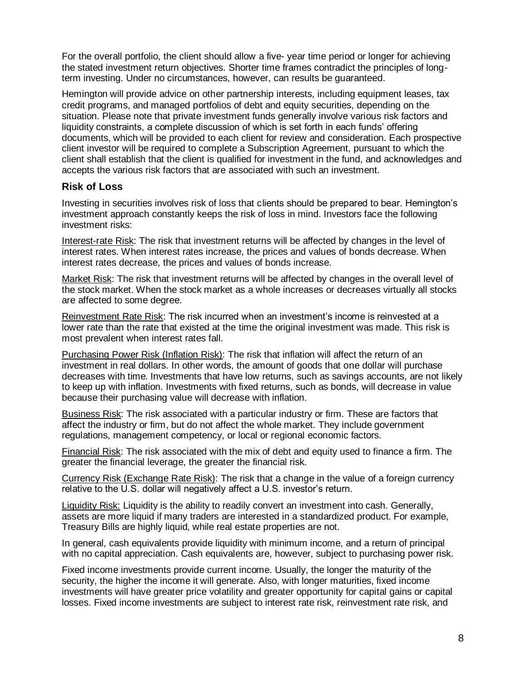For the overall portfolio, the client should allow a five- year time period or longer for achieving the stated investment return objectives. Shorter time frames contradict the principles of longterm investing. Under no circumstances, however, can results be guaranteed.

Hemington will provide advice on other partnership interests, including equipment leases, tax credit programs, and managed portfolios of debt and equity securities, depending on the situation. Please note that private investment funds generally involve various risk factors and liquidity constraints, a complete discussion of which is set forth in each funds' offering documents, which will be provided to each client for review and consideration. Each prospective client investor will be required to complete a Subscription Agreement, pursuant to which the client shall establish that the client is qualified for investment in the fund, and acknowledges and accepts the various risk factors that are associated with such an investment.

#### **Risk of Loss**

Investing in securities involves risk of loss that clients should be prepared to bear. Hemington's investment approach constantly keeps the risk of loss in mind. Investors face the following investment risks:

Interest-rate Risk: The risk that investment returns will be affected by changes in the level of interest rates. When interest rates increase, the prices and values of bonds decrease. When interest rates decrease, the prices and values of bonds increase.

Market Risk: The risk that investment returns will be affected by changes in the overall level of the stock market. When the stock market as a whole increases or decreases virtually all stocks are affected to some degree.

Reinvestment Rate Risk: The risk incurred when an investment's income is reinvested at a lower rate than the rate that existed at the time the original investment was made. This risk is most prevalent when interest rates fall.

Purchasing Power Risk (Inflation Risk): The risk that inflation will affect the return of an investment in real dollars. In other words, the amount of goods that one dollar will purchase decreases with time. Investments that have low returns, such as savings accounts, are not likely to keep up with inflation. Investments with fixed returns, such as bonds, will decrease in value because their purchasing value will decrease with inflation.

Business Risk: The risk associated with a particular industry or firm. These are factors that affect the industry or firm, but do not affect the whole market. They include government regulations, management competency, or local or regional economic factors.

Financial Risk: The risk associated with the mix of debt and equity used to finance a firm. The greater the financial leverage, the greater the financial risk.

Currency Risk (Exchange Rate Risk): The risk that a change in the value of a foreign currency relative to the U.S. dollar will negatively affect a U.S. investor's return.

Liquidity Risk: Liquidity is the ability to readily convert an investment into cash. Generally, assets are more liquid if many traders are interested in a standardized product. For example, Treasury Bills are highly liquid, while real estate properties are not.

In general, cash equivalents provide liquidity with minimum income, and a return of principal with no capital appreciation. Cash equivalents are, however, subject to purchasing power risk.

Fixed income investments provide current income. Usually, the longer the maturity of the security, the higher the income it will generate. Also, with longer maturities, fixed income investments will have greater price volatility and greater opportunity for capital gains or capital losses. Fixed income investments are subject to interest rate risk, reinvestment rate risk, and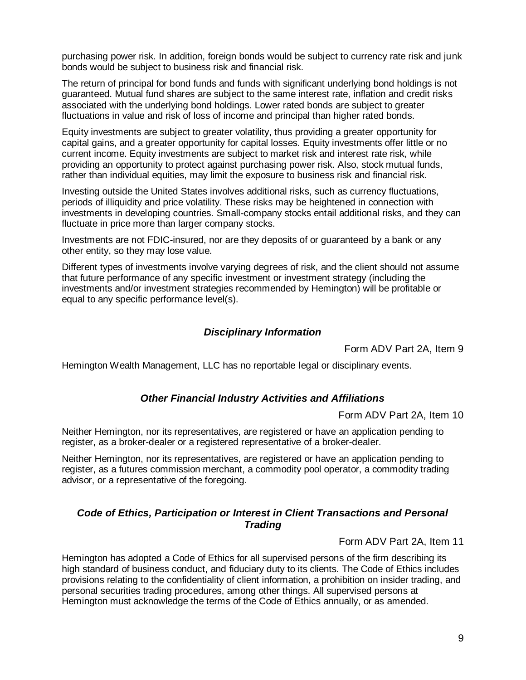purchasing power risk. In addition, foreign bonds would be subject to currency rate risk and junk bonds would be subject to business risk and financial risk.

The return of principal for bond funds and funds with significant underlying bond holdings is not guaranteed. Mutual fund shares are subject to the same interest rate, inflation and credit risks associated with the underlying bond holdings. Lower rated bonds are subject to greater fluctuations in value and risk of loss of income and principal than higher rated bonds.

Equity investments are subject to greater volatility, thus providing a greater opportunity for capital gains, and a greater opportunity for capital losses. Equity investments offer little or no current income. Equity investments are subject to market risk and interest rate risk, while providing an opportunity to protect against purchasing power risk. Also, stock mutual funds, rather than individual equities, may limit the exposure to business risk and financial risk.

Investing outside the United States involves additional risks, such as currency fluctuations, periods of illiquidity and price volatility. These risks may be heightened in connection with investments in developing countries. Small-company stocks entail additional risks, and they can fluctuate in price more than larger company stocks.

Investments are not FDIC-insured, nor are they deposits of or guaranteed by a bank or any other entity, so they may lose value.

Different types of investments involve varying degrees of risk, and the client should not assume that future performance of any specific investment or investment strategy (including the investments and/or investment strategies recommended by Hemington) will be profitable or equal to any specific performance level(s).

#### *Disciplinary Information*

Form ADV Part 2A, Item 9

<span id="page-11-0"></span>Hemington Wealth Management, LLC has no reportable legal or disciplinary events.

#### *Other Financial Industry Activities and Affiliations*

Form ADV Part 2A, Item 10

Neither Hemington, nor its representatives, are registered or have an application pending to register, as a broker-dealer or a registered representative of a broker-dealer.

Neither Hemington, nor its representatives, are registered or have an application pending to register, as a futures commission merchant, a commodity pool operator, a commodity trading advisor, or a representative of the foregoing.

## *Code of Ethics, Participation or Interest in Client Transactions and Personal Trading*

Form ADV Part 2A, Item 11

Hemington has adopted a Code of Ethics for all supervised persons of the firm describing its high standard of business conduct, and fiduciary duty to its clients. The Code of Ethics includes provisions relating to the confidentiality of client information, a prohibition on insider trading, and personal securities trading procedures, among other things. All supervised persons at Hemington must acknowledge the terms of the Code of Ethics annually, or as amended.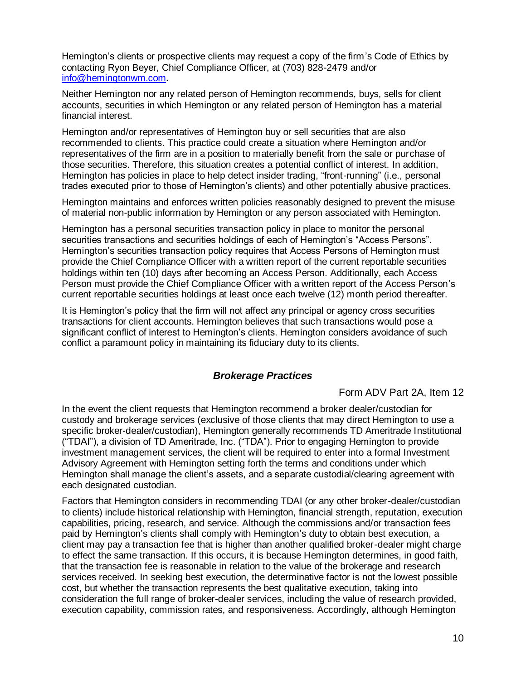Hemington's clients or prospective clients may request a copy of the firm's Code of Ethics by contacting Ryon Beyer, Chief Compliance Officer, at (703) 828-2479 and/or [info@hemingtonwm.com](mailto:info@hemingtonwm.com)**.**

Neither Hemington nor any related person of Hemington recommends, buys, sells for client accounts, securities in which Hemington or any related person of Hemington has a material financial interest.

Hemington and/or representatives of Hemington buy or sell securities that are also recommended to clients. This practice could create a situation where Hemington and/or representatives of the firm are in a position to materially benefit from the sale or purchase of those securities. Therefore, this situation creates a potential conflict of interest. In addition, Hemington has policies in place to help detect insider trading, "front-running" (i.e., personal trades executed prior to those of Hemington's clients) and other potentially abusive practices.

Hemington maintains and enforces written policies reasonably designed to prevent the misuse of material non-public information by Hemington or any person associated with Hemington.

Hemington has a personal securities transaction policy in place to monitor the personal securities transactions and securities holdings of each of Hemington's "Access Persons". Hemington's securities transaction policy requires that Access Persons of Hemington must provide the Chief Compliance Officer with a written report of the current reportable securities holdings within ten (10) days after becoming an Access Person. Additionally, each Access Person must provide the Chief Compliance Officer with a written report of the Access Person's current reportable securities holdings at least once each twelve (12) month period thereafter.

It is Hemington's policy that the firm will not affect any principal or agency cross securities transactions for client accounts. Hemington believes that such transactions would pose a significant conflict of interest to Hemington's clients. Hemington considers avoidance of such conflict a paramount policy in maintaining its fiduciary duty to its clients.

#### *Brokerage Practices*

#### Form ADV Part 2A, Item 12

<span id="page-12-0"></span>In the event the client requests that Hemington recommend a broker dealer/custodian for custody and brokerage services (exclusive of those clients that may direct Hemington to use a specific broker-dealer/custodian), Hemington generally recommends TD Ameritrade Institutional ("TDAI"), a division of TD Ameritrade, Inc. ("TDA"). Prior to engaging Hemington to provide investment management services, the client will be required to enter into a formal Investment Advisory Agreement with Hemington setting forth the terms and conditions under which Hemington shall manage the client's assets, and a separate custodial/clearing agreement with each designated custodian.

Factors that Hemington considers in recommending TDAI (or any other broker-dealer/custodian to clients) include historical relationship with Hemington, financial strength, reputation, execution capabilities, pricing, research, and service. Although the commissions and/or transaction fees paid by Hemington's clients shall comply with Hemington's duty to obtain best execution, a client may pay a transaction fee that is higher than another qualified broker-dealer might charge to effect the same transaction. If this occurs, it is because Hemington determines, in good faith, that the transaction fee is reasonable in relation to the value of the brokerage and research services received. In seeking best execution, the determinative factor is not the lowest possible cost, but whether the transaction represents the best qualitative execution, taking into consideration the full range of broker-dealer services, including the value of research provided, execution capability, commission rates, and responsiveness. Accordingly, although Hemington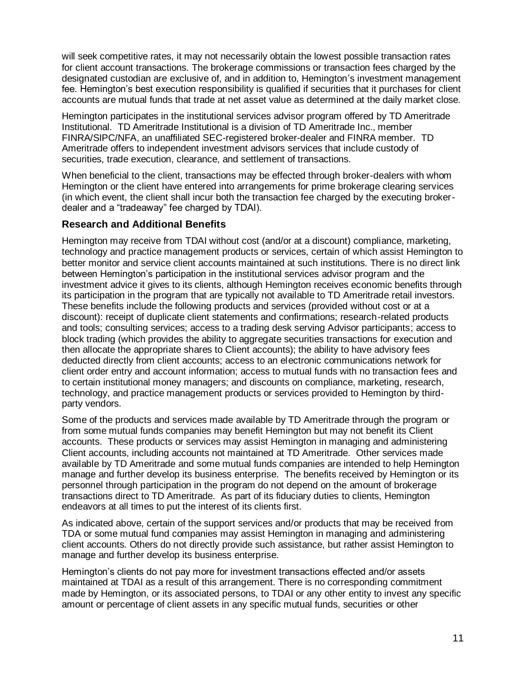will seek competitive rates, it may not necessarily obtain the lowest possible transaction rates for client account transactions. The brokerage commissions or transaction fees charged by the designated custodian are exclusive of, and in addition to, Hemington's investment management fee. Hemington's best execution responsibility is qualified if securities that it purchases for client accounts are mutual funds that trade at net asset value as determined at the daily market close.

Hemington participates in the institutional services advisor program offered by TD Ameritrade Institutional. TD Ameritrade Institutional is a division of TD Ameritrade Inc., member FINRA/SIPC/NFA, an unaffiliated SEC-registered broker-dealer and FINRA member. TD Ameritrade offers to independent investment advisors services that include custody of securities, trade execution, clearance, and settlement of transactions.

When beneficial to the client, transactions may be effected through broker-dealers with whom Hemington or the client have entered into arrangements for prime brokerage clearing services (in which event, the client shall incur both the transaction fee charged by the executing brokerdealer and a "tradeaway" fee charged by TDAI).

#### **Research and Additional Benefits**

Hemington may receive from TDAI without cost (and/or at a discount) compliance, marketing, technology and practice management products or services, certain of which assist Hemington to better monitor and service client accounts maintained at such institutions. There is no direct link between Hemington's participation in the institutional services advisor program and the investment advice it gives to its clients, although Hemington receives economic benefits through its participation in the program that are typically not available to TD Ameritrade retail investors. These benefits include the following products and services (provided without cost or at a discount): receipt of duplicate client statements and confirmations; research-related products and tools; consulting services; access to a trading desk serving Advisor participants; access to block trading (which provides the ability to aggregate securities transactions for execution and then allocate the appropriate shares to Client accounts); the ability to have advisory fees deducted directly from client accounts; access to an electronic communications network for client order entry and account information; access to mutual funds with no transaction fees and to certain institutional money managers; and discounts on compliance, marketing, research, technology, and practice management products or services provided to Hemington by thirdparty vendors.

Some of the products and services made available by TD Ameritrade through the program or from some mutual funds companies may benefit Hemington but may not benefit its Client accounts. These products or services may assist Hemington in managing and administering Client accounts, including accounts not maintained at TD Ameritrade. Other services made available by TD Ameritrade and some mutual funds companies are intended to help Hemington manage and further develop its business enterprise. The benefits received by Hemington or its personnel through participation in the program do not depend on the amount of brokerage transactions direct to TD Ameritrade. As part of its fiduciary duties to clients, Hemington endeavors at all times to put the interest of its clients first.

As indicated above, certain of the support services and/or products that may be received from TDA or some mutual fund companies may assist Hemington in managing and administering client accounts. Others do not directly provide such assistance, but rather assist Hemington to manage and further develop its business enterprise.

Hemington's clients do not pay more for investment transactions effected and/or assets maintained at TDAI as a result of this arrangement. There is no corresponding commitment made by Hemington, or its associated persons, to TDAI or any other entity to invest any specific amount or percentage of client assets in any specific mutual funds, securities or other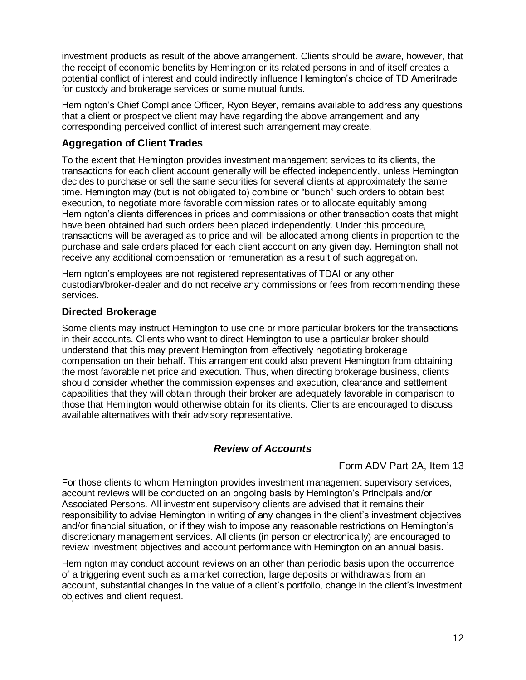investment products as result of the above arrangement. Clients should be aware, however, that the receipt of economic benefits by Hemington or its related persons in and of itself creates a potential conflict of interest and could indirectly influence Hemington's choice of TD Ameritrade for custody and brokerage services or some mutual funds.

Hemington's Chief Compliance Officer, Ryon Beyer, remains available to address any questions that a client or prospective client may have regarding the above arrangement and any corresponding perceived conflict of interest such arrangement may create.

## **Aggregation of Client Trades**

To the extent that Hemington provides investment management services to its clients, the transactions for each client account generally will be effected independently, unless Hemington decides to purchase or sell the same securities for several clients at approximately the same time. Hemington may (but is not obligated to) combine or "bunch" such orders to obtain best execution, to negotiate more favorable commission rates or to allocate equitably among Hemington's clients differences in prices and commissions or other transaction costs that might have been obtained had such orders been placed independently. Under this procedure, transactions will be averaged as to price and will be allocated among clients in proportion to the purchase and sale orders placed for each client account on any given day. Hemington shall not receive any additional compensation or remuneration as a result of such aggregation.

Hemington's employees are not registered representatives of TDAI or any other custodian/broker-dealer and do not receive any commissions or fees from recommending these services.

## **Directed Brokerage**

Some clients may instruct Hemington to use one or more particular brokers for the transactions in their accounts. Clients who want to direct Hemington to use a particular broker should understand that this may prevent Hemington from effectively negotiating brokerage compensation on their behalf. This arrangement could also prevent Hemington from obtaining the most favorable net price and execution. Thus, when directing brokerage business, clients should consider whether the commission expenses and execution, clearance and settlement capabilities that they will obtain through their broker are adequately favorable in comparison to those that Hemington would otherwise obtain for its clients. Clients are encouraged to discuss available alternatives with their advisory representative.

## *Review of Accounts*

## Form ADV Part 2A, Item 13

<span id="page-14-0"></span>For those clients to whom Hemington provides investment management supervisory services, account reviews will be conducted on an ongoing basis by Hemington's Principals and/or Associated Persons. All investment supervisory clients are advised that it remains their responsibility to advise Hemington in writing of any changes in the client's investment objectives and/or financial situation, or if they wish to impose any reasonable restrictions on Hemington's discretionary management services. All clients (in person or electronically) are encouraged to review investment objectives and account performance with Hemington on an annual basis.

Hemington may conduct account reviews on an other than periodic basis upon the occurrence of a triggering event such as a market correction, large deposits or withdrawals from an account, substantial changes in the value of a client's portfolio, change in the client's investment objectives and client request.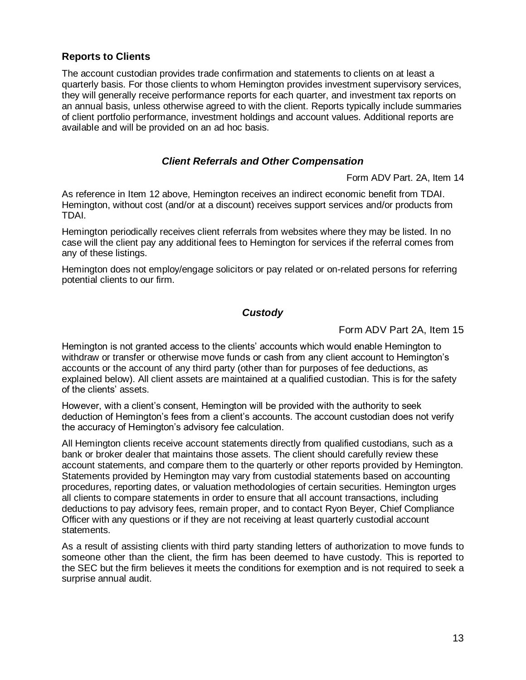## **Reports to Clients**

The account custodian provides trade confirmation and statements to clients on at least a quarterly basis. For those clients to whom Hemington provides investment supervisory services, they will generally receive performance reports for each quarter, and investment tax reports on an annual basis, unless otherwise agreed to with the client. Reports typically include summaries of client portfolio performance, investment holdings and account values. Additional reports are available and will be provided on an ad hoc basis.

## *Client Referrals and Other Compensation*

Form ADV Part. 2A, Item 14

<span id="page-15-1"></span><span id="page-15-0"></span>As reference in Item 12 above, Hemington receives an indirect economic benefit from TDAI. Hemington, without cost (and/or at a discount) receives support services and/or products from TDAI.

Hemington periodically receives client referrals from websites where they may be listed. In no case will the client pay any additional fees to Hemington for services if the referral comes from any of these listings.

Hemington does not employ/engage solicitors or pay related or on-related persons for referring potential clients to our firm.

## *Custody*

Form ADV Part 2A, Item 15

<span id="page-15-2"></span>Hemington is not granted access to the clients' accounts which would enable Hemington to withdraw or transfer or otherwise move funds or cash from any client account to Hemington's accounts or the account of any third party (other than for purposes of fee deductions, as explained below). All client assets are maintained at a qualified custodian. This is for the safety of the clients' assets.

However, with a client's consent, Hemington will be provided with the authority to seek deduction of Hemington's fees from a client's accounts. The account custodian does not verify the accuracy of Hemington's advisory fee calculation.

All Hemington clients receive account statements directly from qualified custodians, such as a bank or broker dealer that maintains those assets. The client should carefully review these account statements, and compare them to the quarterly or other reports provided by Hemington. Statements provided by Hemington may vary from custodial statements based on accounting procedures, reporting dates, or valuation methodologies of certain securities. Hemington urges all clients to compare statements in order to ensure that all account transactions, including deductions to pay advisory fees, remain proper, and to contact Ryon Beyer, Chief Compliance Officer with any questions or if they are not receiving at least quarterly custodial account statements.

As a result of assisting clients with third party standing letters of authorization to move funds to someone other than the client, the firm has been deemed to have custody. This is reported to the SEC but the firm believes it meets the conditions for exemption and is not required to seek a surprise annual audit.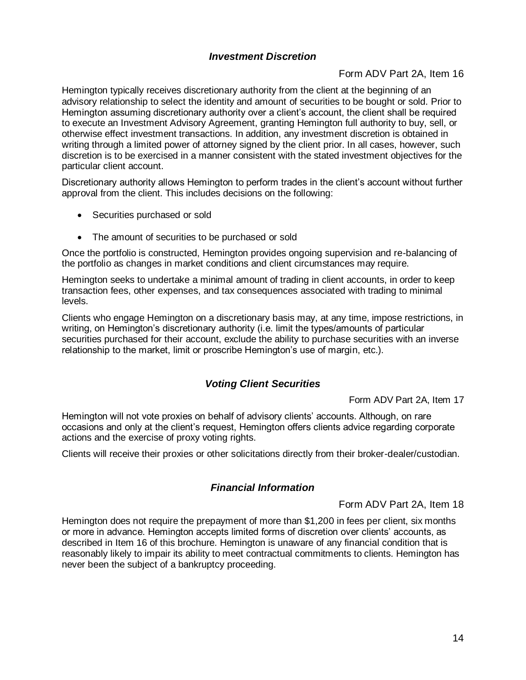## *Investment Discretion*

#### Form ADV Part 2A, Item 16

<span id="page-16-0"></span>Hemington typically receives discretionary authority from the client at the beginning of an advisory relationship to select the identity and amount of securities to be bought or sold. Prior to Hemington assuming discretionary authority over a client's account, the client shall be required to execute an Investment Advisory Agreement, granting Hemington full authority to buy, sell, or otherwise effect investment transactions. In addition, any investment discretion is obtained in writing through a limited power of attorney signed by the client prior. In all cases, however, such discretion is to be exercised in a manner consistent with the stated investment objectives for the particular client account.

Discretionary authority allows Hemington to perform trades in the client's account without further approval from the client. This includes decisions on the following:

- Securities purchased or sold
- The amount of securities to be purchased or sold

Once the portfolio is constructed, Hemington provides ongoing supervision and re-balancing of the portfolio as changes in market conditions and client circumstances may require.

Hemington seeks to undertake a minimal amount of trading in client accounts, in order to keep transaction fees, other expenses, and tax consequences associated with trading to minimal levels.

Clients who engage Hemington on a discretionary basis may, at any time, impose restrictions, in writing, on Hemington's discretionary authority (i.e. limit the types/amounts of particular securities purchased for their account, exclude the ability to purchase securities with an inverse relationship to the market, limit or proscribe Hemington's use of margin, etc.).

# *Voting Client Securities*

Form ADV Part 2A, Item 17

<span id="page-16-1"></span>Hemington will not vote proxies on behalf of advisory clients' accounts. Although, on rare occasions and only at the client's request, Hemington offers clients advice regarding corporate actions and the exercise of proxy voting rights.

<span id="page-16-2"></span>Clients will receive their proxies or other solicitations directly from their broker-dealer/custodian.

## *Financial Information*

Form ADV Part 2A, Item 18

Hemington does not require the prepayment of more than \$1,200 in fees per client, six months or more in advance. Hemington accepts limited forms of discretion over clients' accounts, as described in Item 16 of this brochure. Hemington is unaware of any financial condition that is reasonably likely to impair its ability to meet contractual commitments to clients. Hemington has never been the subject of a bankruptcy proceeding.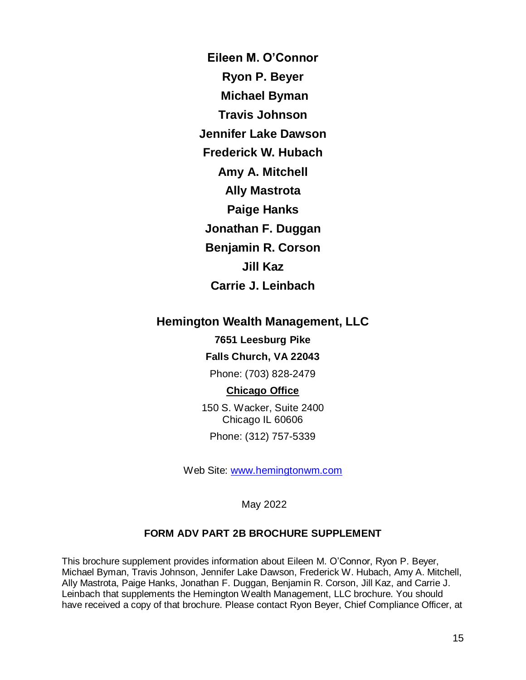**Eileen M. O'Connor Ryon P. Beyer Michael Byman Travis Johnson Jennifer Lake Dawson Frederick W. Hubach Amy A. Mitchell Ally Mastrota Paige Hanks Jonathan F. Duggan Benjamin R. Corson Jill Kaz Carrie J. Leinbach**

# <span id="page-17-0"></span>**Hemington Wealth Management, LLC**

## **7651 Leesburg Pike**

## **Falls Church, VA 22043**

Phone: (703) 828-2479

#### **Chicago Office**

150 S. Wacker, Suite 2400 Chicago IL 60606 Phone: (312) 757-5339

Web Site: [www.hemingtonwm.com](http://www.hemingtonwm.com/)

May 2022

## **FORM ADV PART 2B BROCHURE SUPPLEMENT**

<span id="page-17-1"></span>This brochure supplement provides information about Eileen M. O'Connor, Ryon P. Beyer, Michael Byman, Travis Johnson, Jennifer Lake Dawson, Frederick W. Hubach, Amy A. Mitchell, Ally Mastrota, Paige Hanks, Jonathan F. Duggan, Benjamin R. Corson, Jill Kaz, and Carrie J. Leinbach that supplements the Hemington Wealth Management, LLC brochure. You should have received a copy of that brochure. Please contact Ryon Beyer, Chief Compliance Officer, at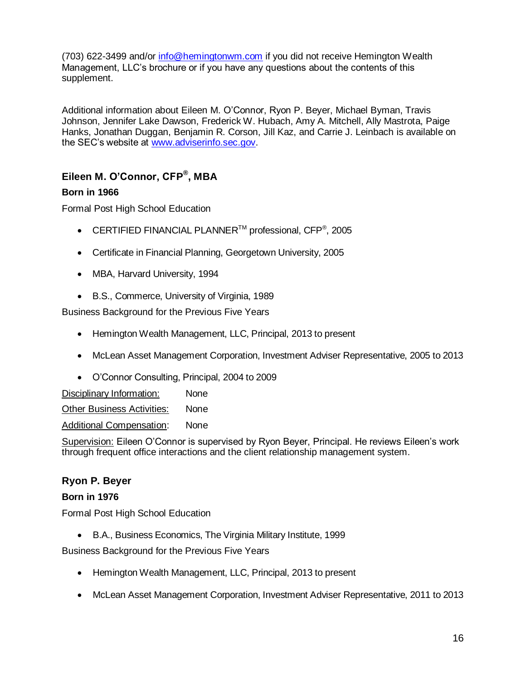(703) 622-3499 and/or [info@hemingtonwm.com](mailto:info@hemingtonwm.com) if you did not receive Hemington Wealth Management, LLC's brochure or if you have any questions about the contents of this supplement.

Additional information about Eileen M. O'Connor, Ryon P. Beyer, Michael Byman, Travis Johnson, Jennifer Lake Dawson, Frederick W. Hubach, Amy A. Mitchell, Ally Mastrota, Paige Hanks, Jonathan Duggan, Benjamin R. Corson, Jill Kaz, and Carrie J. Leinbach is available on the SEC's website at [www.adviserinfo.sec.gov.](http://www.adviserinfo.sec.gov/)

# <span id="page-18-0"></span>**Eileen M. O'Connor, CFP ® , MBA**

#### **Born in 1966**

Formal Post High School Education

- CERTIFIED FINANCIAL PLANNER<sup>TM</sup> professional, CFP<sup>®</sup>, 2005
- Certificate in Financial Planning, Georgetown University, 2005
- MBA, Harvard University, 1994
- B.S., Commerce, University of Virginia, 1989

Business Background for the Previous Five Years

- Hemington Wealth Management, LLC, Principal, 2013 to present
- McLean Asset Management Corporation, Investment Adviser Representative, 2005 to 2013
- O'Connor Consulting, Principal, 2004 to 2009

Disciplinary Information: None Other Business Activities: None

Additional Compensation: None

Supervision: Eileen O'Connor is supervised by Ryon Beyer, Principal. He reviews Eileen's work through frequent office interactions and the client relationship management system.

## <span id="page-18-1"></span>**Ryon P. Beyer**

#### **Born in 1976**

Formal Post High School Education

B.A., Business Economics, The Virginia Military Institute, 1999

Business Background for the Previous Five Years

- Hemington Wealth Management, LLC, Principal, 2013 to present
- McLean Asset Management Corporation, Investment Adviser Representative, 2011 to 2013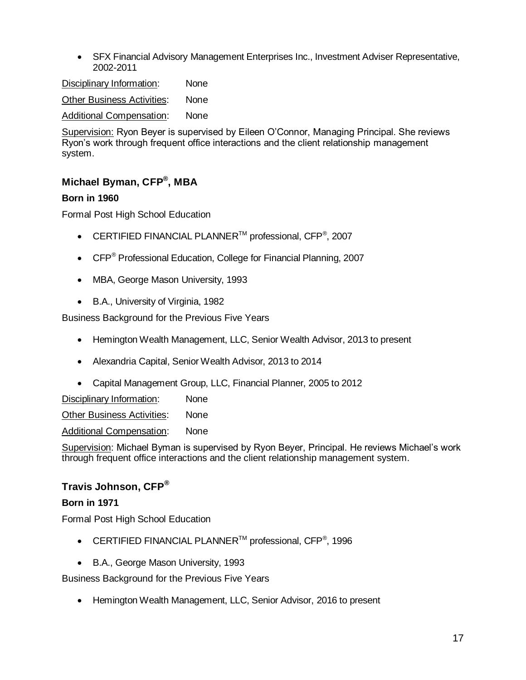SFX Financial Advisory Management Enterprises Inc., Investment Adviser Representative, 2002-2011

Disciplinary Information: None Other Business Activities: None Additional Compensation: None

Supervision: Ryon Beyer is supervised by Eileen O'Connor, Managing Principal. She reviews Ryon's work through frequent office interactions and the client relationship management system.

# <span id="page-19-0"></span>**Michael Byman, CFP® , MBA**

## **Born in 1960**

Formal Post High School Education

- CERTIFIED FINANCIAL PLANNER<sup>TM</sup> professional, CFP<sup>®</sup>, 2007
- CFP<sup>®</sup> Professional Education, College for Financial Planning, 2007
- MBA, George Mason University, 1993
- B.A., University of Virginia, 1982

Business Background for the Previous Five Years

- Hemington Wealth Management, LLC, Senior Wealth Advisor, 2013 to present
- Alexandria Capital, Senior Wealth Advisor, 2013 to 2014
- Capital Management Group, LLC, Financial Planner, 2005 to 2012

Disciplinary Information: None

**Other Business Activities: None** 

Additional Compensation: None

Supervision: Michael Byman is supervised by Ryon Beyer, Principal. He reviews Michael's work through frequent office interactions and the client relationship management system.

# <span id="page-19-1"></span>**Travis Johnson, CFP®**

## **Born in 1971**

Formal Post High School Education

- CERTIFIED FINANCIAL PLANNER<sup>TM</sup> professional, CFP<sup>®</sup>, 1996
- B.A., George Mason University, 1993

Business Background for the Previous Five Years

• Hemington Wealth Management, LLC, Senior Advisor, 2016 to present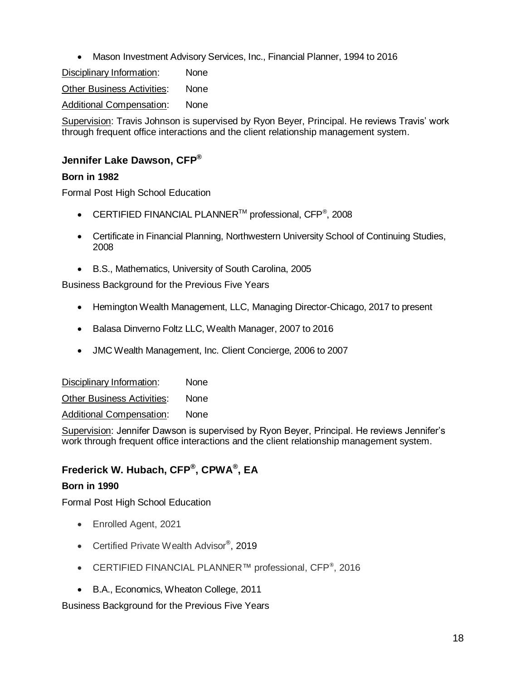Mason Investment Advisory Services, Inc., Financial Planner, 1994 to 2016

Disciplinary Information: None **Other Business Activities: None** Additional Compensation: None

Supervision: Travis Johnson is supervised by Ryon Beyer, Principal. He reviews Travis' work through frequent office interactions and the client relationship management system.

# <span id="page-20-0"></span>**Jennifer Lake Dawson, CFP®**

## **Born in 1982**

Formal Post High School Education

- CERTIFIED FINANCIAL PLANNER<sup>TM</sup> professional, CFP<sup>®</sup>, 2008
- Certificate in Financial Planning, Northwestern University School of Continuing Studies, 2008
- B.S., Mathematics, University of South Carolina, 2005

Business Background for the Previous Five Years

- Hemington Wealth Management, LLC, Managing Director-Chicago, 2017 to present
- Balasa Dinverno Foltz LLC, Wealth Manager, 2007 to 2016
- JMC Wealth Management, Inc. Client Concierge, 2006 to 2007

Disciplinary Information: None **Other Business Activities:** None Additional Compensation: None

Supervision: Jennifer Dawson is supervised by Ryon Beyer, Principal. He reviews Jennifer's work through frequent office interactions and the client relationship management system.

# <span id="page-20-1"></span>**Frederick W. Hubach, CFP® , CPWA® , EA**

## **Born in 1990**

Formal Post High School Education

- Enrolled Agent, 2021
- Certified Private Wealth Advisor<sup>®</sup>, 2019
- CERTIFIED FINANCIAL PLANNER™ professional, CFP®, 2016
- B.A., Economics, Wheaton College, 2011

Business Background for the Previous Five Years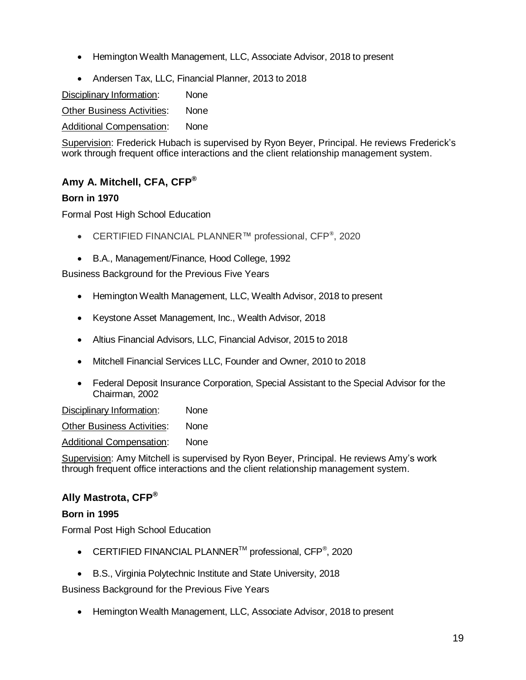- Hemington Wealth Management, LLC, Associate Advisor, 2018 to present
- Andersen Tax, LLC, Financial Planner, 2013 to 2018

Disciplinary Information: None

Other Business Activities: None

Additional Compensation: None

Supervision: Frederick Hubach is supervised by Ryon Beyer, Principal. He reviews Frederick's work through frequent office interactions and the client relationship management system.

# <span id="page-21-0"></span>**Amy A. Mitchell, CFA, CFP®**

## **Born in 1970**

Formal Post High School Education

- CERTIFIED FINANCIAL PLANNER™ professional, CFP®, 2020
- B.A., Management/Finance, Hood College, 1992

Business Background for the Previous Five Years

- Hemington Wealth Management, LLC, Wealth Advisor, 2018 to present
- Keystone Asset Management, Inc., Wealth Advisor, 2018
- Altius Financial Advisors, LLC, Financial Advisor, 2015 to 2018
- Mitchell Financial Services LLC, Founder and Owner, 2010 to 2018
- Federal Deposit Insurance Corporation, Special Assistant to the Special Advisor for the Chairman, 2002

Disciplinary Information: None

Other Business Activities: None

Additional Compensation: None

Supervision: Amy Mitchell is supervised by Ryon Beyer, Principal. He reviews Amy's work through frequent office interactions and the client relationship management system.

## <span id="page-21-1"></span>**Ally Mastrota, CFP®**

#### **Born in 1995**

Formal Post High School Education

- CERTIFIED FINANCIAL PLANNER<sup>TM</sup> professional, CFP<sup>®</sup>, 2020
- B.S., Virginia Polytechnic Institute and State University, 2018

Business Background for the Previous Five Years

• Hemington Wealth Management, LLC, Associate Advisor, 2018 to present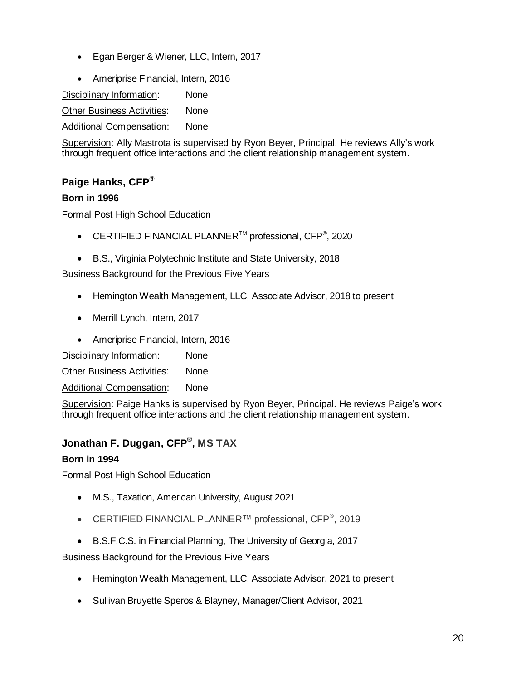- Egan Berger & Wiener, LLC, Intern, 2017
- Ameriprise Financial, Intern, 2016

Disciplinary Information: None Other Business Activities: None

Additional Compensation: None

Supervision: Ally Mastrota is supervised by Ryon Beyer, Principal. He reviews Ally's work through frequent office interactions and the client relationship management system.

# <span id="page-22-0"></span>**Paige Hanks, CFP®**

#### **Born in 1996**

Formal Post High School Education

- CERTIFIED FINANCIAL PLANNER<sup>TM</sup> professional, CFP<sup>®</sup>, 2020
- B.S., Virginia Polytechnic Institute and State University, 2018

Business Background for the Previous Five Years

- Hemington Wealth Management, LLC, Associate Advisor, 2018 to present
- Merrill Lynch, Intern, 2017
- Ameriprise Financial, Intern, 2016

Disciplinary Information: None

Other Business Activities: None

Additional Compensation: None

Supervision: Paige Hanks is supervised by Ryon Beyer, Principal. He reviews Paige's work through frequent office interactions and the client relationship management system.

# <span id="page-22-1"></span>**Jonathan F. Duggan, CFP® , MS TAX**

#### **Born in 1994**

Formal Post High School Education

- M.S., Taxation, American University, August 2021
- CERTIFIED FINANCIAL PLANNER™ professional, CFP®, 2019
- B.S.F.C.S. in Financial Planning, The University of Georgia, 2017

Business Background for the Previous Five Years

- Hemington Wealth Management, LLC, Associate Advisor, 2021 to present
- Sullivan Bruyette Speros & Blayney, Manager/Client Advisor, 2021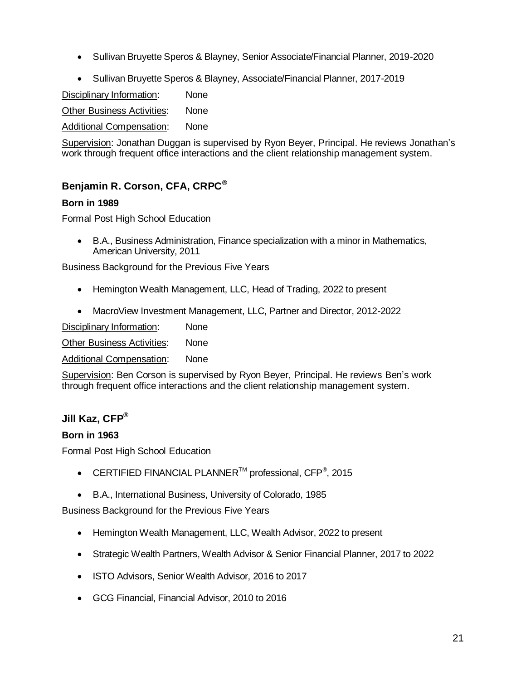- Sullivan Bruyette Speros & Blayney, Senior Associate/Financial Planner, 2019-2020
- Sullivan Bruyette Speros & Blayney, Associate/Financial Planner, 2017-2019

Disciplinary Information: None

Other Business Activities: None

Additional Compensation: None

Supervision: Jonathan Duggan is supervised by Ryon Beyer, Principal. He reviews Jonathan's work through frequent office interactions and the client relationship management system.

# <span id="page-23-0"></span>**Benjamin R. Corson, CFA, CRPC®**

## **Born in 1989**

Formal Post High School Education

 B.A., Business Administration, Finance specialization with a minor in Mathematics, American University, 2011

Business Background for the Previous Five Years

- Hemington Wealth Management, LLC, Head of Trading, 2022 to present
- MacroView Investment Management, LLC, Partner and Director, 2012-2022

Disciplinary Information: None Other Business Activities: None

Additional Compensation: None

Supervision: Ben Corson is supervised by Ryon Beyer, Principal. He reviews Ben's work through frequent office interactions and the client relationship management system.

# <span id="page-23-1"></span>**Jill Kaz, CFP®**

#### **Born in 1963**

Formal Post High School Education

- CERTIFIED FINANCIAL PLANNER<sup>TM</sup> professional, CFP<sup>®</sup>, 2015
- B.A., International Business, University of Colorado, 1985

Business Background for the Previous Five Years

- Hemington Wealth Management, LLC, Wealth Advisor, 2022 to present
- Strategic Wealth Partners, Wealth Advisor & Senior Financial Planner, 2017 to 2022
- ISTO Advisors, Senior Wealth Advisor, 2016 to 2017
- GCG Financial, Financial Advisor, 2010 to 2016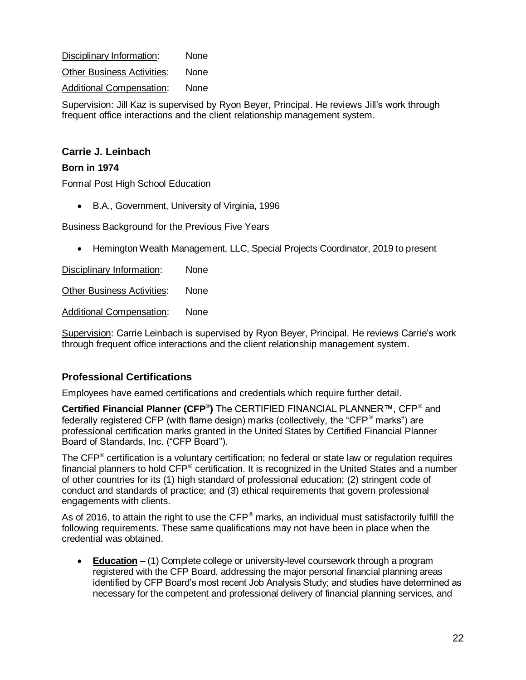Disciplinary Information: None Other Business Activities: None Additional Compensation: None

Supervision: Jill Kaz is supervised by Ryon Beyer, Principal. He reviews Jill's work through frequent office interactions and the client relationship management system.

## <span id="page-24-0"></span>**Carrie J. Leinbach**

#### **Born in 1974**

Formal Post High School Education

B.A., Government, University of Virginia, 1996

Business Background for the Previous Five Years

Hemington Wealth Management, LLC, Special Projects Coordinator, 2019 to present

Disciplinary Information: None

Other Business Activities: None

Additional Compensation: None

Supervision: Carrie Leinbach is supervised by Ryon Beyer, Principal. He reviews Carrie's work through frequent office interactions and the client relationship management system.

## **Professional Certifications**

Employees have earned certifications and credentials which require further detail.

**Certified Financial Planner (CFP® )** The CERTIFIED FINANCIAL PLANNER™, CFP® and federally registered CFP (with flame design) marks (collectively, the "CFP $^{\circ}$  marks") are professional certification marks granted in the United States by Certified Financial Planner Board of Standards, Inc. ("CFP Board").

The CFP<sup>®</sup> certification is a voluntary certification; no federal or state law or regulation requires financial planners to hold CFP® certification. It is recognized in the United States and a number of other countries for its (1) high standard of professional education; (2) stringent code of conduct and standards of practice; and (3) ethical requirements that govern professional engagements with clients.

As of 2016, to attain the right to use the  $\text{CFP}^{\textcircled{}}$  marks, an individual must satisfactorily fulfill the following requirements. These same qualifications may not have been in place when the credential was obtained.

 **Education** – (1) Complete college or university-level coursework through a program registered with the CFP Board, addressing the major personal financial planning areas identified by CFP Board's most recent Job Analysis Study; and studies have determined as necessary for the competent and professional delivery of financial planning services, and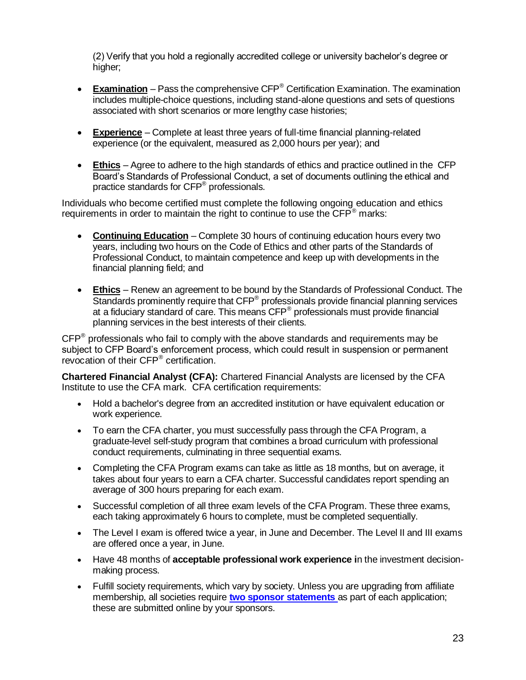(2) Verify that you hold a regionally accredited college or university bachelor's degree or higher;

- **Examination** Pass the comprehensive CFP® Certification Examination. The examination includes multiple-choice questions, including stand-alone questions and sets of questions associated with short scenarios or more lengthy case histories;
- **Experience** Complete at least three years of full-time financial planning-related experience (or the equivalent, measured as 2,000 hours per year); and
- **Ethics** Agree to adhere to the high standards of ethics and practice outlined in the CFP Board's Standards of Professional Conduct, a set of documents outlining the ethical and practice standards for CFP<sup>®</sup> professionals.

Individuals who become certified must complete the following ongoing education and ethics requirements in order to maintain the right to continue to use the  $\mathsf{CFP}^{\otimes}$  marks:

- **Continuing Education** Complete 30 hours of continuing education hours every two years, including two hours on the Code of Ethics and other parts of the Standards of Professional Conduct, to maintain competence and keep up with developments in the financial planning field; and
- **Ethics** Renew an agreement to be bound by the Standards of Professional Conduct. The Standards prominently require that CFP<sup>®</sup> professionals provide financial planning services at a fiduciary standard of care. This means  $\mathsf{CFP}^{\circledcirc}$  professionals must provide financial planning services in the best interests of their clients.

 $\text{CFP}^{\circledast}$  professionals who fail to comply with the above standards and requirements may be subject to CFP Board's enforcement process, which could result in suspension or permanent revocation of their CFP<sup>®</sup> certification.

**Chartered Financial Analyst (CFA):** Chartered Financial Analysts are licensed by the CFA Institute to use the CFA mark. CFA certification requirements:

- Hold a bachelor's degree from an accredited institution or have equivalent education or work experience.
- To earn the CFA charter, you must successfully pass through the CFA Program, a graduate-level self-study program that combines a broad curriculum with professional conduct requirements, culminating in three sequential exams.
- Completing the CFA Program exams can take as little as 18 months, but on average, it takes about four years to earn a CFA charter. Successful candidates report spending an average of 300 hours preparing for each exam.
- Successful completion of all three exam levels of the CFA Program. These three exams, each taking approximately 6 hours to complete, must be completed sequentially.
- The Level I exam is offered twice a year, in June and December. The Level II and III exams are offered once a year, in June.
- Have 48 months of **acceptable professional work experience i**n the investment decisionmaking process.
- Fulfill society requirements, which vary by society. Unless you are upgrading from affiliate membership, all societies require **[two sponsor statements](http://www.cfainstitute.org/about/membership/process/Pages/membership_sponsors.aspx)** as part of each application; these are submitted online by your sponsors.